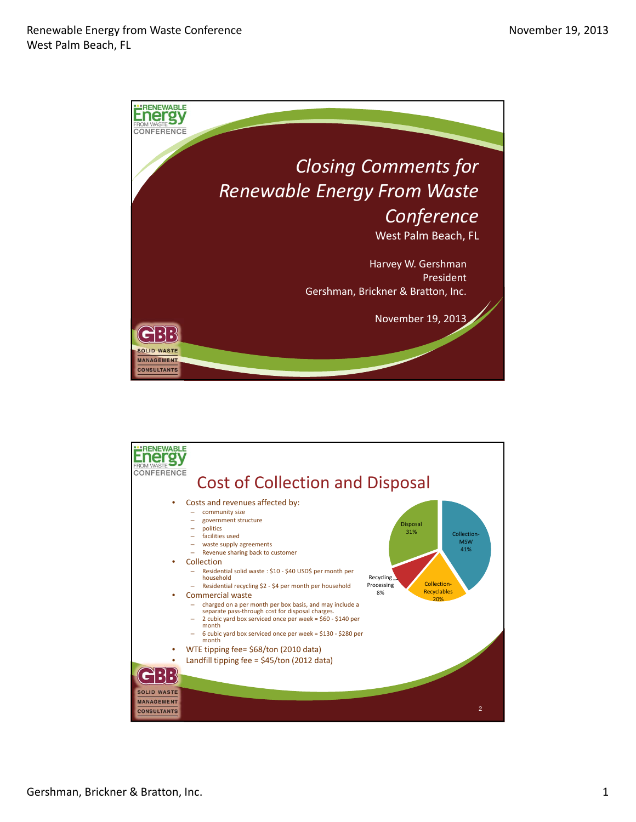

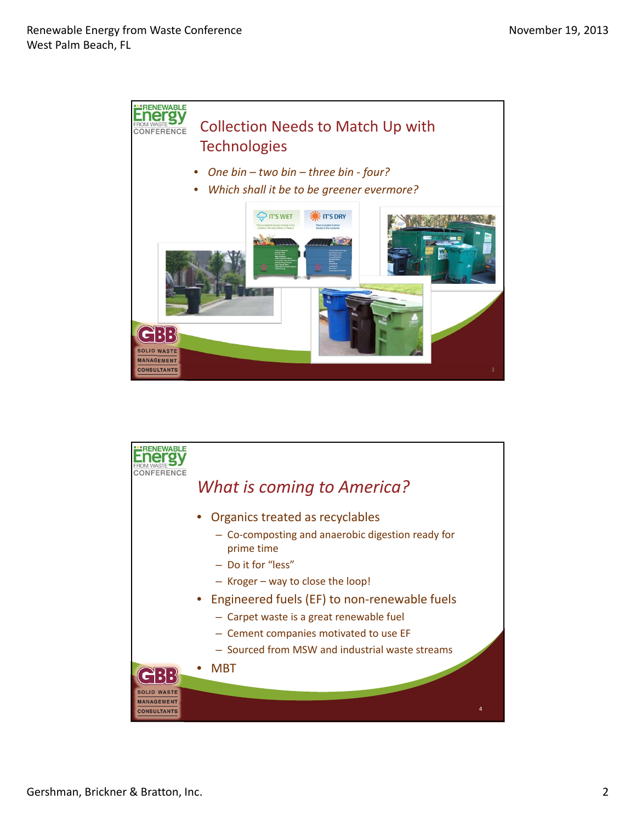

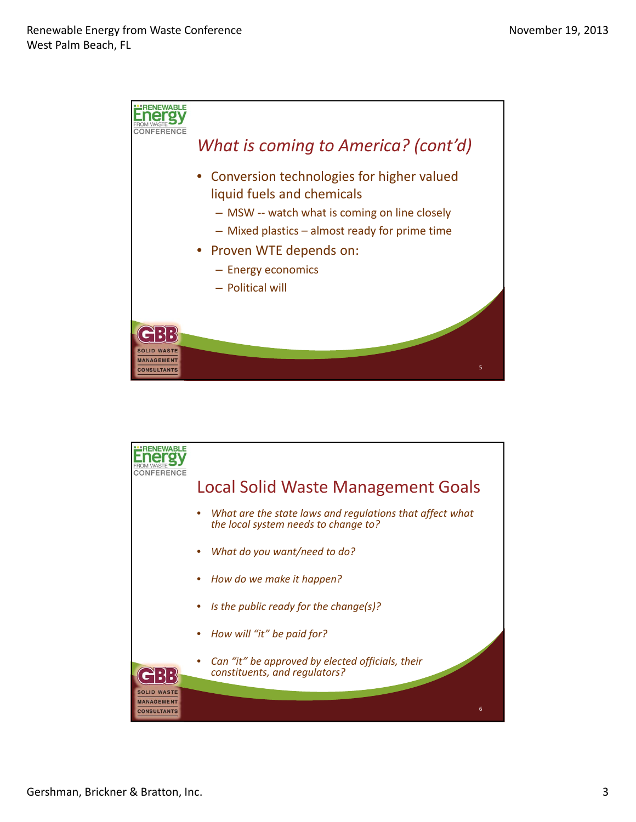

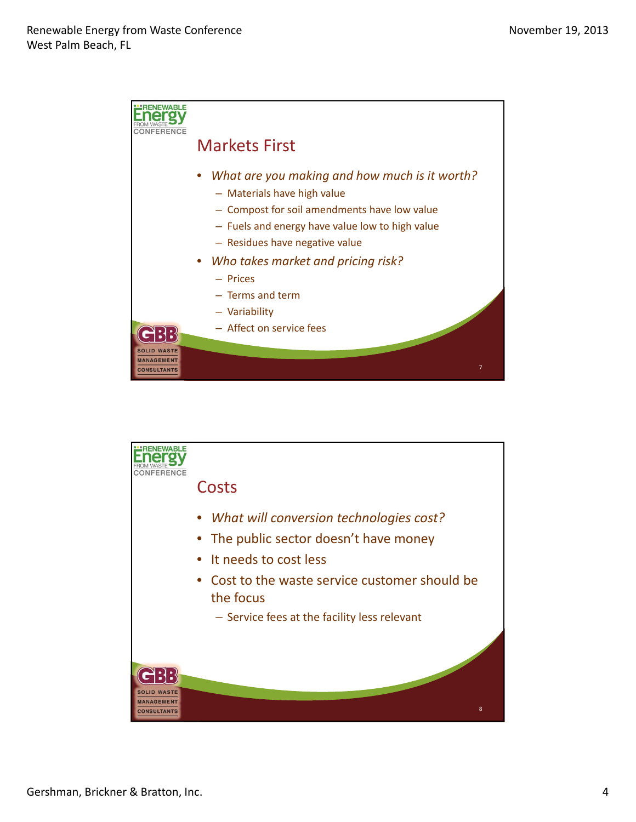

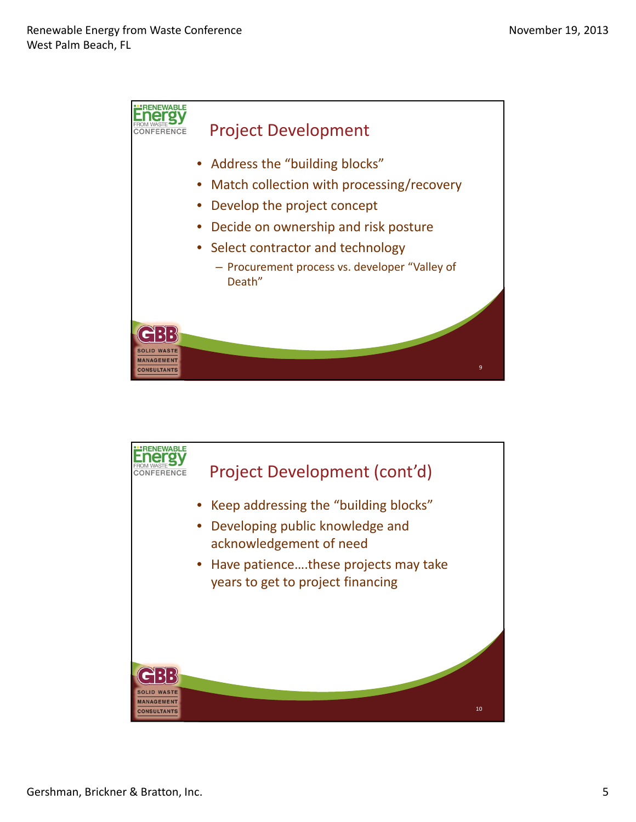

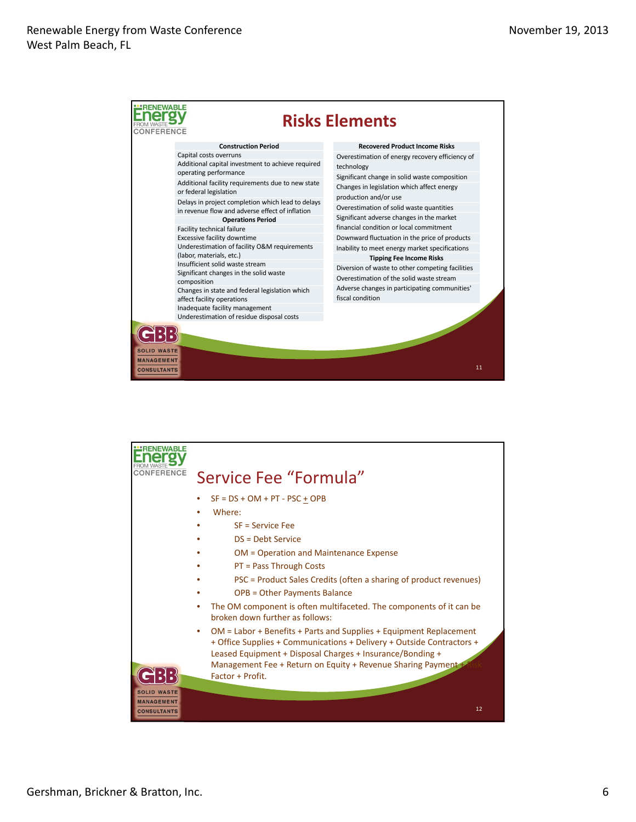

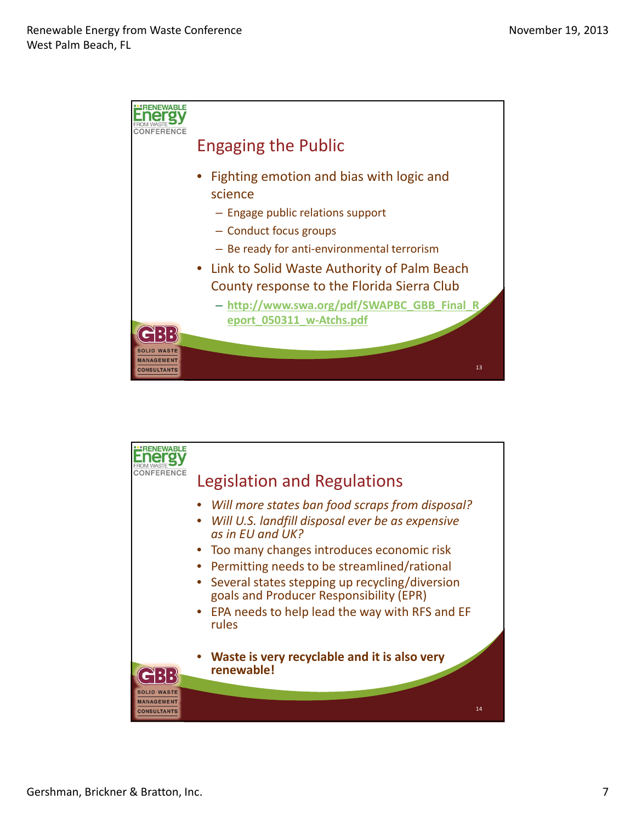